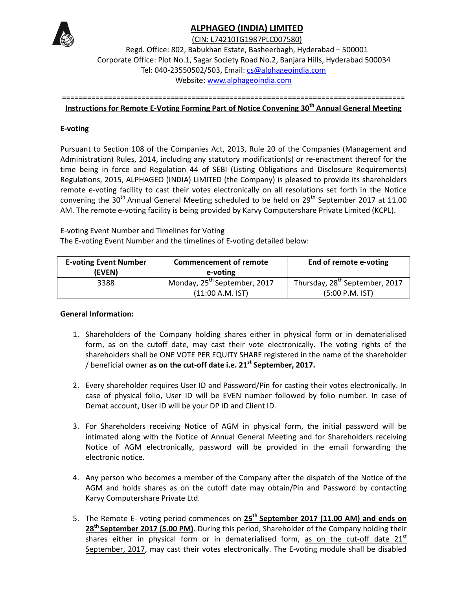

## **ALPHAGEO (INDIA) LIMITED**

(CIN: L74210TG1987PLC007580)

Regd. Office: 802, Babukhan Estate, Basheerbagh, Hyderabad – 500001 Corporate Office: Plot No.1, Sagar Society Road No.2, Banjara Hills, Hyderabad 500034 Tel: 040-23550502/503, Email: cs@alphageoindia.com Website: www.alphageoindia.com

==================================================================================

# **Instructions for Remote E-Voting Forming Part of Notice Convening 30th Annual General Meeting**

### **E-voting**

Pursuant to Section 108 of the Companies Act, 2013, Rule 20 of the Companies (Management and Administration) Rules, 2014, including any statutory modification(s) or re-enactment thereof for the time being in force and Regulation 44 of SEBI (Listing Obligations and Disclosure Requirements) Regulations, 2015, ALPHAGEO (INDIA) LIMITED (the Company) is pleased to provide its shareholders remote e-voting facility to cast their votes electronically on all resolutions set forth in the Notice convening the 30<sup>th</sup> Annual General Meeting scheduled to be held on  $29<sup>th</sup>$  September 2017 at 11.00 AM. The remote e-voting facility is being provided by Karvy Computershare Private Limited (KCPL).

E-voting Event Number and Timelines for Voting The E-voting Event Number and the timelines of E-voting detailed below:

| <b>E-voting Event Number</b><br>(EVEN) | <b>Commencement of remote</b><br>e-voting | End of remote e-voting                     |
|----------------------------------------|-------------------------------------------|--------------------------------------------|
| 3388                                   | Monday, 25 <sup>th</sup> September, 2017  | Thursday, 28 <sup>th</sup> September, 2017 |
|                                        | (11:00 A.M. IST)                          | (5:00 P.M. IST)                            |

### **General Information:**

- 1. Shareholders of the Company holding shares either in physical form or in dematerialised form, as on the cutoff date, may cast their vote electronically. The voting rights of the shareholders shall be ONE VOTE PER EQUITY SHARE registered in the name of the shareholder / beneficial owner **as on the cut-off date i.e. 21st September, 2017.**
- 2. Every shareholder requires User ID and Password/Pin for casting their votes electronically. In case of physical folio, User ID will be EVEN number followed by folio number. In case of Demat account, User ID will be your DP ID and Client ID.
- 3. For Shareholders receiving Notice of AGM in physical form, the initial password will be intimated along with the Notice of Annual General Meeting and for Shareholders receiving Notice of AGM electronically, password will be provided in the email forwarding the electronic notice.
- 4. Any person who becomes a member of the Company after the dispatch of the Notice of the AGM and holds shares as on the cutoff date may obtain/Pin and Password by contacting Karvy Computershare Private Ltd.
- 5. The Remote E- voting period commences on 25<sup>th</sup> September 2017 (11.00 AM) and ends on **28th September 2017 (5.00 PM)**. During this period, Shareholder of the Company holding their shares either in physical form or in dematerialised form, as on the cut-off date  $21<sup>st</sup>$ September, 2017, may cast their votes electronically. The E-voting module shall be disabled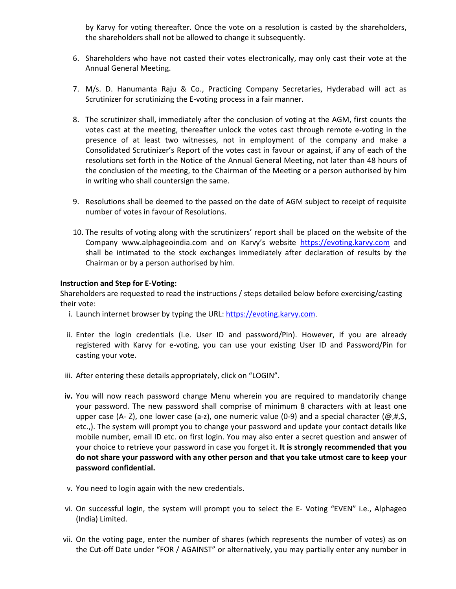by Karvy for voting thereafter. Once the vote on a resolution is casted by the shareholders, the shareholders shall not be allowed to change it subsequently.

- 6. Shareholders who have not casted their votes electronically, may only cast their vote at the Annual General Meeting.
- 7. M/s. D. Hanumanta Raju & Co., Practicing Company Secretaries, Hyderabad will act as Scrutinizer for scrutinizing the E-voting process in a fair manner.
- 8. The scrutinizer shall, immediately after the conclusion of voting at the AGM, first counts the votes cast at the meeting, thereafter unlock the votes cast through remote e-voting in the presence of at least two witnesses, not in employment of the company and make a Consolidated Scrutinizer's Report of the votes cast in favour or against, if any of each of the resolutions set forth in the Notice of the Annual General Meeting, not later than 48 hours of the conclusion of the meeting, to the Chairman of the Meeting or a person authorised by him in writing who shall countersign the same.
- 9. Resolutions shall be deemed to the passed on the date of AGM subject to receipt of requisite number of votes in favour of Resolutions.
- 10. The results of voting along with the scrutinizers' report shall be placed on the website of the Company www.alphageoindia.com and on Karvy's website https://evoting.karvy.com and shall be intimated to the stock exchanges immediately after declaration of results by the Chairman or by a person authorised by him.

#### **Instruction and Step for E-Voting:**

Shareholders are requested to read the instructions / steps detailed below before exercising/casting their vote:

- i. Launch internet browser by typing the URL: https://evoting.karvy.com.
- ii. Enter the login credentials (i.e. User ID and password/Pin). However, if you are already registered with Karvy for e-voting, you can use your existing User ID and Password/Pin for casting your vote.
- iii. After entering these details appropriately, click on "LOGIN".
- **iv.** You will now reach password change Menu wherein you are required to mandatorily change your password. The new password shall comprise of minimum 8 characters with at least one upper case (A- Z), one lower case (a-z), one numeric value (0-9) and a special character ( $\omega, \sharp, \xi$ , etc.,). The system will prompt you to change your password and update your contact details like mobile number, email ID etc. on first login. You may also enter a secret question and answer of your choice to retrieve your password in case you forget it. **It is strongly recommended that you do not share your password with any other person and that you take utmost care to keep your password confidential.**
- v. You need to login again with the new credentials.
- vi. On successful login, the system will prompt you to select the E- Voting "EVEN" i.e., Alphageo (India) Limited.
- vii. On the voting page, enter the number of shares (which represents the number of votes) as on the Cut-off Date under "FOR / AGAINST" or alternatively, you may partially enter any number in